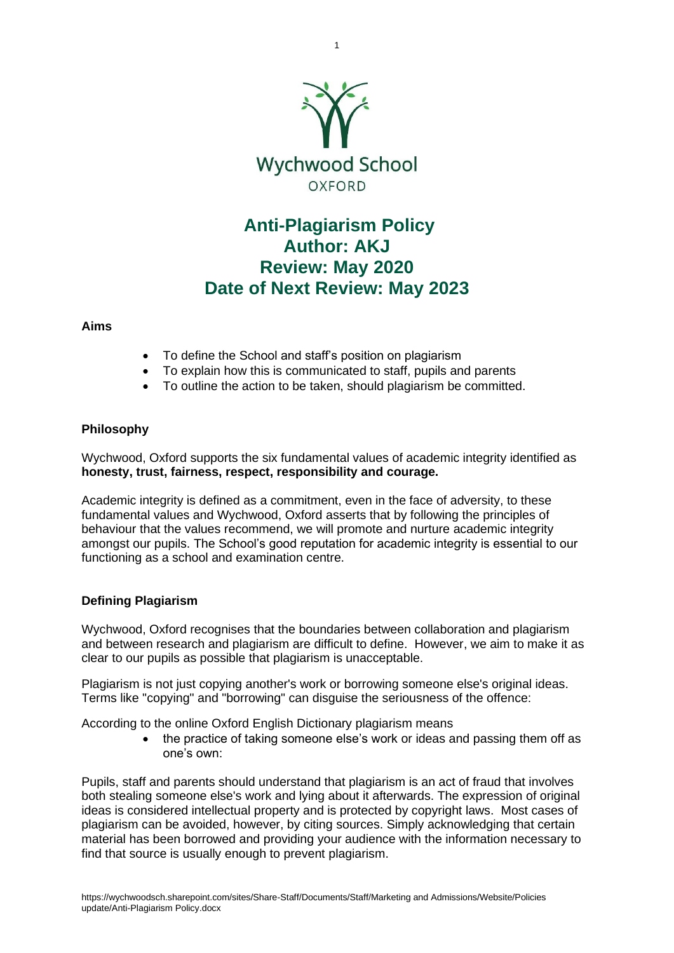

1

# **Anti-Plagiarism Policy Author: AKJ Review: May 2020 Date of Next Review: May 2023**

# **Aims**

- To define the School and staff's position on plagiarism
- To explain how this is communicated to staff, pupils and parents
- To outline the action to be taken, should plagiarism be committed.

# **Philosophy**

Wychwood, Oxford supports the six fundamental values of academic integrity identified as **honesty, trust, fairness, respect, responsibility and courage.**

Academic integrity is defined as a commitment, even in the face of adversity, to these fundamental values and Wychwood, Oxford asserts that by following the principles of behaviour that the values recommend, we will promote and nurture academic integrity amongst our pupils. The School's good reputation for academic integrity is essential to our functioning as a school and examination centre.

# **Defining Plagiarism**

Wychwood, Oxford recognises that the boundaries between collaboration and plagiarism and between research and plagiarism are difficult to define. However, we aim to make it as clear to our pupils as possible that plagiarism is unacceptable.

Plagiarism is not just copying another's work or borrowing someone else's original ideas. Terms like "copying" and "borrowing" can disguise the seriousness of the offence:

According to the online Oxford English Dictionary plagiarism means

• the practice of taking someone else's work or ideas and passing them off as one's own:

Pupils, staff and parents should understand that plagiarism is an act of fraud that involves both stealing someone else's work and lying about it afterwards. The expression of original ideas is considered intellectual property and is protected by copyright laws. Most cases of plagiarism can be avoided, however, by citing sources. Simply acknowledging that certain material has been borrowed and providing your audience with the information necessary to find that source is usually enough to prevent plagiarism.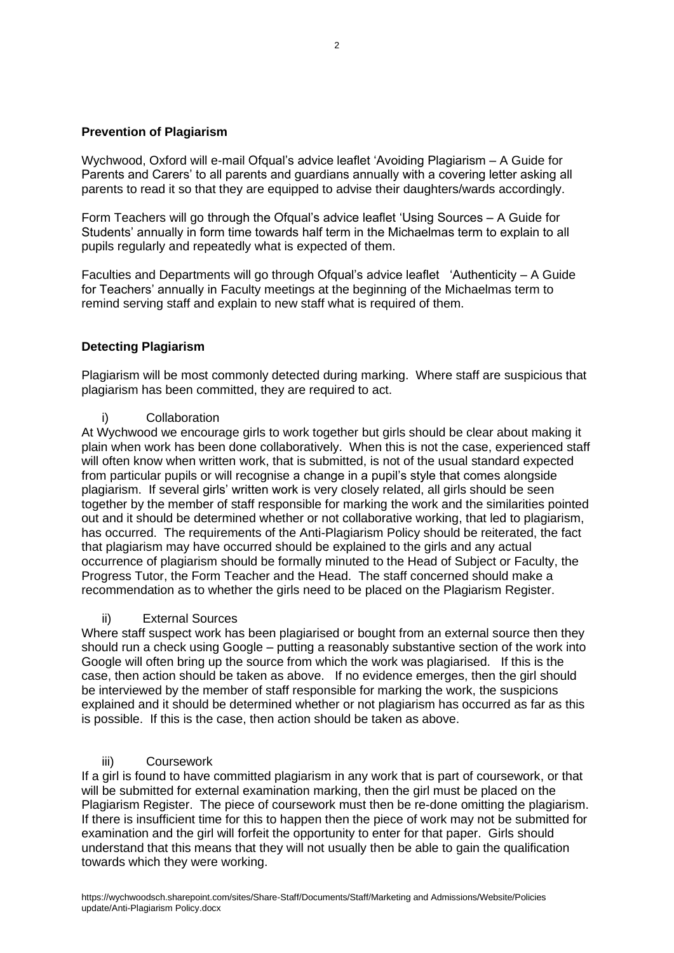# **Prevention of Plagiarism**

Wychwood, Oxford will e-mail Ofqual's advice leaflet 'Avoiding Plagiarism – A Guide for Parents and Carers' to all parents and guardians annually with a covering letter asking all parents to read it so that they are equipped to advise their daughters/wards accordingly.

Form Teachers will go through the Ofqual's advice leaflet 'Using Sources – A Guide for Students' annually in form time towards half term in the Michaelmas term to explain to all pupils regularly and repeatedly what is expected of them.

Faculties and Departments will go through Ofqual's advice leaflet 'Authenticity – A Guide for Teachers' annually in Faculty meetings at the beginning of the Michaelmas term to remind serving staff and explain to new staff what is required of them.

### **Detecting Plagiarism**

Plagiarism will be most commonly detected during marking. Where staff are suspicious that plagiarism has been committed, they are required to act.

#### i) Collaboration

At Wychwood we encourage girls to work together but girls should be clear about making it plain when work has been done collaboratively. When this is not the case, experienced staff will often know when written work, that is submitted, is not of the usual standard expected from particular pupils or will recognise a change in a pupil's style that comes alongside plagiarism. If several girls' written work is very closely related, all girls should be seen together by the member of staff responsible for marking the work and the similarities pointed out and it should be determined whether or not collaborative working, that led to plagiarism, has occurred. The requirements of the Anti-Plagiarism Policy should be reiterated, the fact that plagiarism may have occurred should be explained to the girls and any actual occurrence of plagiarism should be formally minuted to the Head of Subject or Faculty, the Progress Tutor, the Form Teacher and the Head. The staff concerned should make a recommendation as to whether the girls need to be placed on the Plagiarism Register.

#### ii) External Sources

Where staff suspect work has been plagiarised or bought from an external source then they should run a check using Google – putting a reasonably substantive section of the work into Google will often bring up the source from which the work was plagiarised. If this is the case, then action should be taken as above. If no evidence emerges, then the girl should be interviewed by the member of staff responsible for marking the work, the suspicions explained and it should be determined whether or not plagiarism has occurred as far as this is possible. If this is the case, then action should be taken as above.

#### iii) Coursework

If a girl is found to have committed plagiarism in any work that is part of coursework, or that will be submitted for external examination marking, then the girl must be placed on the Plagiarism Register. The piece of coursework must then be re-done omitting the plagiarism. If there is insufficient time for this to happen then the piece of work may not be submitted for examination and the girl will forfeit the opportunity to enter for that paper. Girls should understand that this means that they will not usually then be able to gain the qualification towards which they were working.